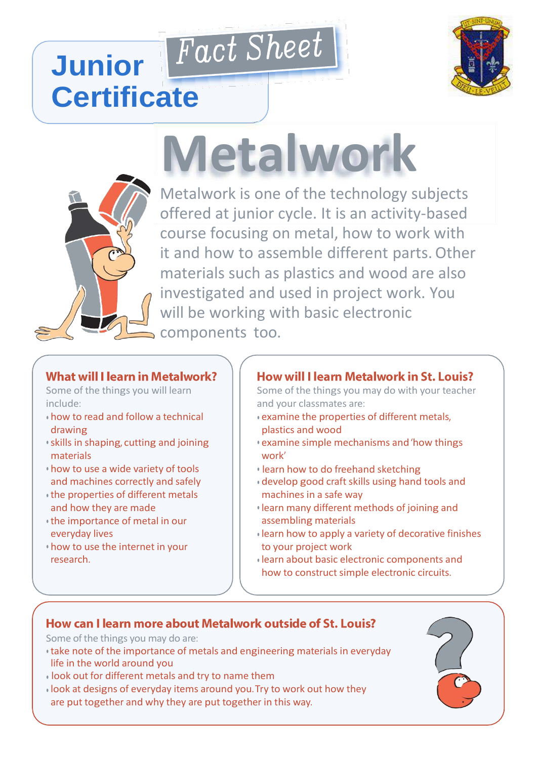# Fact Sheet **Junior Certificate**



# **Metalwork**



Metalwork is one of the technology subjects offered at junior cycle. It is an activity-based course focusing on metal, how to work with it and how to assemble different parts. Other materials such as plastics and wood are also investigated and used in project work. You will be working with basic electronic components too.

# **What will I learn in Metalwork?**

Some of the things you will learn include:

- how to read and follow a technical drawing
- skills in shaping, cutting and joining materials
- how to use a wide variety of tools and machines correctly and safely
- the properties of different metals and how they are made
- the importance of metal in our everyday lives
- how to use the internet in your research.

# **How will I learn Metalwork in St. Louis?**

Some of the things you may do with your teacher and your classmates are:

- examine the properties of different metals, plastics and wood
- examine simple mechanisms and'how things work'
- learn how to do freehand sketching
- develop good craft skills using hand tools and machines in a safe way
- learn many different methods of joining and assembling materials
- learn how to apply a variety of decorative finishes to your project work
- learn about basic electronic components and how to construct simple electronic circuits.

# How can I learn more about Metalwork outside of St. Louis?

Some of the things you may do are:

- take note of the importance of metals and engineering materials in everyday life in the world around you
- look out for different metals and try to name them
- look at designs of everyday items around you.Try to work out how they are put together and why they are put together in this way.